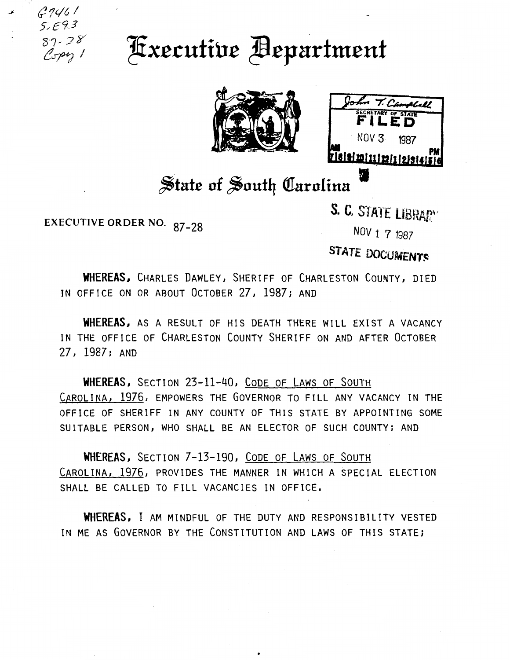$67461$ S/E93 '87, *7- ?/*   $C$ opy 1

## **Executive Bepartment**





## State of South Carolina

EXECUTIVE ORDER NO. 87-28

S. C. STATE LIBRARY

NOV 1 7 <sup>1987</sup>

STATE DOCUMENTS

WHEREAS, CHARLES DAWLEY, SHERIFF OF CHARLESTON COUNTY, DIED IN OFFICE ON OR ABOUT OCTOBER 27, 1987; AND

WHEREAS, AS A RESULT OF HIS DEATH THERE WILL EXIST A VACANCY IN THE OFFICE OF CHARLESTON COUNTY SHERIFF ON AND AFTER OCTOBER 27, 1987; AND

WHEREAS, SECTION 23-11-40, CoDE OF LAWS OF SOUTH CAROLINA, 1976, EMPOWERS THE GOVERNOR TO FILL ANY VACANCY IN THE OFFICE OF SHERIFF IN ANY COUNTY OF THIS STATE BY APPOINTING SOME SUITABLE PERSON, WHO SHALL BE AN ELECTOR OF SUCH COUNTY; AND

WHEREAS, SECTION 7-13-190, CODE OF LAWS OF SOUTH CAROLINA, 1976, PROVIDES THE MANNER IN WHICH A SPECIAL ELECTION SHALL BE CALLED TO FILL VACANCIES IN OFFICE.

WHEREAS, I AM MINDFUL OF THE DUTY AND RESPONSIBILITY VESTED IN ME AS GOVERNOR BY THE CONSTITUTION AND LAWS OF THIS STATE;